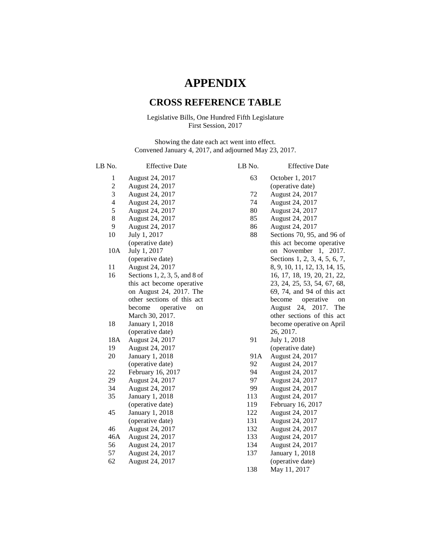## **APPENDIX**

## **CROSS REFERENCE TABLE**

## Legislative Bills, One Hundred Fifth Legislature First Session, 2017

Showing the date each act went into effect. Convened January 4, 2017, and adjourned May 23, 2017.

| LB No.                   | <b>Effective Date</b>         | LB No. | <b>Effective Date</b>         |
|--------------------------|-------------------------------|--------|-------------------------------|
| 1                        | August 24, 2017               | 63     | October 1, 2017               |
| $\overline{c}$           | August 24, 2017               |        | (operative date)              |
| $\mathfrak{Z}$           | August 24, 2017               | 72     | August 24, 2017               |
| $\overline{\mathcal{A}}$ | August 24, 2017               | 74     | August 24, 2017               |
| 5                        | August 24, 2017               | 80     | August 24, 2017               |
| $\,8\,$                  | August 24, 2017               | 85     | August 24, 2017               |
| 9                        | August 24, 2017               | 86     | August 24, 2017               |
| 10                       | July 1, 2017                  | 88     | Sections 70, 95, and 96 of    |
|                          | (operative date)              |        | this act become operative     |
| 10A                      | July 1, 2017                  |        | on November 1, 2017.          |
|                          | (operative date)              |        | Sections 1, 2, 3, 4, 5, 6, 7, |
| 11                       | August 24, 2017               |        | 8, 9, 10, 11, 12, 13, 14, 15, |
| 16                       | Sections 1, 2, 3, 5, and 8 of |        | 16, 17, 18, 19, 20, 21, 22,   |
|                          | this act become operative     |        | 23, 24, 25, 53, 54, 67, 68,   |
|                          | on August 24, 2017. The       |        | 69, 74, and 94 of this act    |
|                          | other sections of this act    |        | become<br>operative<br>on     |
|                          | operative<br>become<br>on     |        | 24,<br>2017.<br>August<br>The |
|                          | March 30, 2017.               |        | other sections of this act    |
| 18                       | January 1, 2018               |        | become operative on April     |
|                          | (operative date)              |        | 26, 2017.                     |
| 18A                      | August 24, 2017               | 91     | July 1, 2018                  |
| 19                       | August 24, 2017               |        | (operative date)              |
| 20                       | January 1, 2018               | 91A    | August 24, 2017               |
|                          | (operative date)              | 92     | August 24, 2017               |
| 22                       | February 16, 2017             | 94     | August 24, 2017               |
| 29                       | August 24, 2017               | 97     | August 24, 2017               |
| 34                       | August 24, 2017               | 99     | August 24, 2017               |
| 35                       | January 1, 2018               | 113    | August 24, 2017               |
|                          | (operative date)              | 119    | February 16, 2017             |
| 45                       | January 1, 2018               | 122    | August 24, 2017               |
|                          | (operative date)              | 131    | August 24, 2017               |
| 46                       | August 24, 2017               | 132    | August 24, 2017               |
| 46A                      | August 24, 2017               | 133    | August 24, 2017               |
| 56                       | August 24, 2017               | 134    | August 24, 2017               |
| 57                       | August 24, 2017               | 137    | January 1, 2018               |
| 62                       | August 24, 2017               |        | (operative date)              |
|                          |                               | 138    | May 11, 2017                  |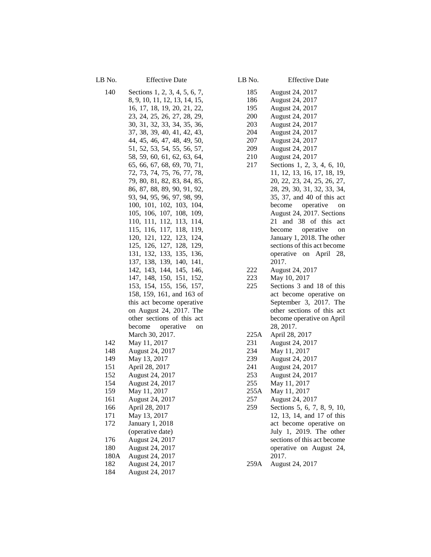LB No. **Effective Date** 

| 140        | Sections 1, 2, 3, 4, 5, 6, 7,                                                    |
|------------|----------------------------------------------------------------------------------|
|            | 8, 9, 10, 11, 12, 13, 14, 15,                                                    |
|            | 16, 17, 18, 19, 20, 21, 22,                                                      |
|            | 23, 24, 25, 26, 27, 28, 29,                                                      |
|            | 30, 31, 32, 33, 34, 35, 36,                                                      |
|            | 37, 38, 39, 40, 41, 42, 43,                                                      |
|            | 44, 45, 46, 47, 48, 49, 50,                                                      |
|            | 51, 52, 53, 54, 55, 56, 57,                                                      |
|            | 58, 59, 60, 61, 62, 63, 64,                                                      |
|            | 65, 66, 67, 68, 69, 70, 71,                                                      |
|            | 72, 73, 74, 75, 76, 77, 78,                                                      |
|            | 79, 80, 81, 82, 83, 84, 85,                                                      |
|            | 86, 87, 88, 89, 90, 91, 92,                                                      |
|            | 93, 94, 95, 96, 97, 98, 99,                                                      |
|            | 100, 101, 102, 103, 104,                                                         |
|            | 105, 106, 107, 108, 109,                                                         |
|            |                                                                                  |
|            |                                                                                  |
|            | 110, 111, 112, 113, 114,<br>115, 116, 117, 118, 119,<br>120, 121, 122, 123, 124, |
|            | 125, 126, 127, 128, 129,                                                         |
|            | 131, 132, 133, 135, 136,                                                         |
|            | 137, 138, 139, 140, 141,                                                         |
|            | 142, 143, 144, 145, 146,                                                         |
|            | 147, 148, 150, 151, 152,                                                         |
|            | 153, 154, 155, 156, 157,                                                         |
|            | 158, 159, 161, and 163 of                                                        |
|            | this act become operative                                                        |
|            | on August 24, 2017. The                                                          |
|            | other sections of this act                                                       |
|            | become operative on                                                              |
|            | March 30, 2017.                                                                  |
| 142        | May 11, 2017                                                                     |
| 148<br>149 | August 24, 2017<br>May 13, 2017                                                  |
| 151        | April 28, 2017                                                                   |
| 152        | August 24, 2017                                                                  |
| 154        | August 24, 2017                                                                  |
| 159        | May 11, 2017                                                                     |
| 161        | August 24, 2017                                                                  |
| 166        | April 28, 2017                                                                   |
| 171        | May 13, 2017                                                                     |
| 172        | January 1, 2018                                                                  |
|            | (operative date)                                                                 |
| 176        | August 24, 2017                                                                  |
| 180        | August 24, 2017                                                                  |
| 180A       | August 24, 2017                                                                  |
| 182        | August 24, 2017                                                                  |
| 184        | August 24, 2017                                                                  |

| LB No.      | <b>Effective Date</b>                                 |
|-------------|-------------------------------------------------------|
| 185         | August 24, 2017                                       |
| 186         | August 24, 2017                                       |
| 195         | August 24, 2017                                       |
| 200         | August 24, 2017                                       |
| 203         | August 24, 2017                                       |
| 204         | August 24, 2017                                       |
| 207         | August 24, 2017                                       |
| 209<br>210  | August 24, 2017<br>August 24, 2017                    |
| 217         | Sections 1, 2, 3, 4, 6, 10,                           |
|             | 11, 12, 13, 16, 17, 18, 19,                           |
|             | 20, 22, 23, 24, 25, 26, 27,                           |
|             | 28, 29, 30, 31, 32, 33, 34,                           |
|             | 35, 37, and 40 of this act                            |
|             | become operative<br>on                                |
|             | August 24, 2017. Sections                             |
|             | 21 and 38 of this<br>act                              |
|             | operative<br>become<br>on                             |
|             | January 1, 2018. The other                            |
|             | sections of this act become<br>operative on April 28, |
|             | 2017.                                                 |
| 222         | August 24, 2017                                       |
| 223         | May 10, 2017                                          |
| 225         | Sections 3 and 18 of this                             |
|             | act become operative on                               |
|             | September 3, 2017. The                                |
|             | other sections of this act                            |
|             | become operative on April                             |
|             | 28, 2017.                                             |
| 225A<br>231 | April 28, 2017<br>August 24, 2017                     |
| 234         | May 11, 2017                                          |
| 239         | August 24, 2017                                       |
| 241         | August 24, 2017                                       |
| 253         | August 24, 2017                                       |
| 255         | May 11, 2017                                          |
| 255A        | May 11, 2017                                          |
| 257         | August 24, 2017                                       |
| 259         | Sections 5, 6, 7, 8, 9, 10,                           |
|             | 12, 13, 14, and 17 of this<br>act become operative on |
|             | July 1, 2019. The other                               |
|             | sections of this act become                           |
|             | operative on August 24,                               |
|             | 2017.                                                 |
| 259A        | August 24, 2017                                       |
|             |                                                       |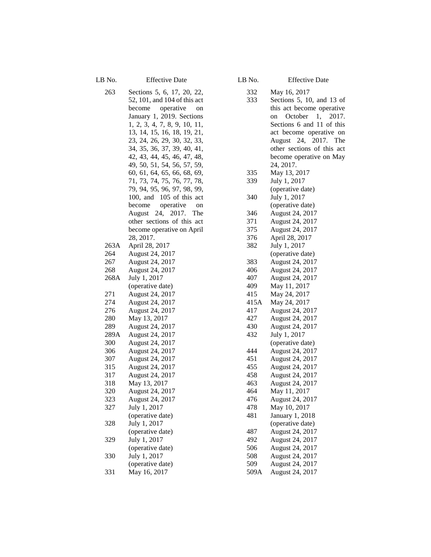LB No. Effective Date

263 Sections 5, 6, 17, 20, 22, 52, 101, and 104 of this act become operative on January 1, 2019. Sections 1, 2, 3, 4, 7, 8, 9, 10, 11, 13, 14, 15, 16, 18, 19, 21, 23, 24, 26, 29, 30, 32, 33, 34, 35, 36, 37, 39, 40, 41, 42, 43, 44, 45, 46, 47, 48, 49, 50, 51, 54, 56, 57, 59, 60, 61, 64, 65, 66, 68, 69, 71, 73, 74, 75, 76, 77, 78, 79, 94, 95, 96, 97, 98, 99, 100, and 105 of this act become operative on August 24, 2017. The other sections of this act become operative on April 28, 2017. 263A April 28, 2017 264 August 24, 2017 267 August 24, 2017 268 August 24, 2017 268A July 1, 2017 (operative date) 271 August 24, 2017 274 August 24, 2017 276 August 24, 2017 280 May 13, 2017 289 August 24, 2017 289A August 24, 2017 300 August 24, 2017 306 August 24, 2017 307 August 24, 2017 315 August 24, 2017 317 August 24, 2017 318 May 13, 2017 320 August 24, 2017 323 August 24, 2017 327 July 1, 2017 (operative date) 328 July 1, 2017 (operative date) 329 July 1, 2017 (operative date) 330 July 1, 2017 (operative date) 331 May 16, 2017

LB No. Effective Date

- 332 May 16, 2017
- 333 Sections 5, 10, and 13 of this act become operative on October 1, 2017. Sections 6 and 11 of this act become operative on August 24, 2017. The other sections of this act become operative on May 24, 2017.
- 335 May 13, 2017
- 339 July 1, 2017 (operative date) 340 July 1, 2017
- (operative date) 346 August 24, 2017 371 August 24, 2017
- 375 August 24, 2017 376 April 28, 2017 382 July 1, 2017 (operative date) 383 August 24, 2017
- 406 August 24, 2017 407 August 24, 2017
- 409 May 11, 2017 415 May 24, 2017
- 415A May 24, 2017 417 August 24, 2017 427 August 24, 2017
- 430 August 24, 2017 432 July 1, 2017 (operative date) 444 August 24, 2017 451 August 24, 2017 455 August 24, 2017 458 August 24, 2017 463 August 24, 2017
- 464 May 11, 2017 476 August 24, 2017
- 478 May 10, 2017 481 January 1, 2018
- (operative date) 487 August 24, 2017 492 August 24, 2017
- 506 August 24, 2017 508 August 24, 2017
- 509 August 24, 2017 509A August 24, 2017
- 
- 
- 
-